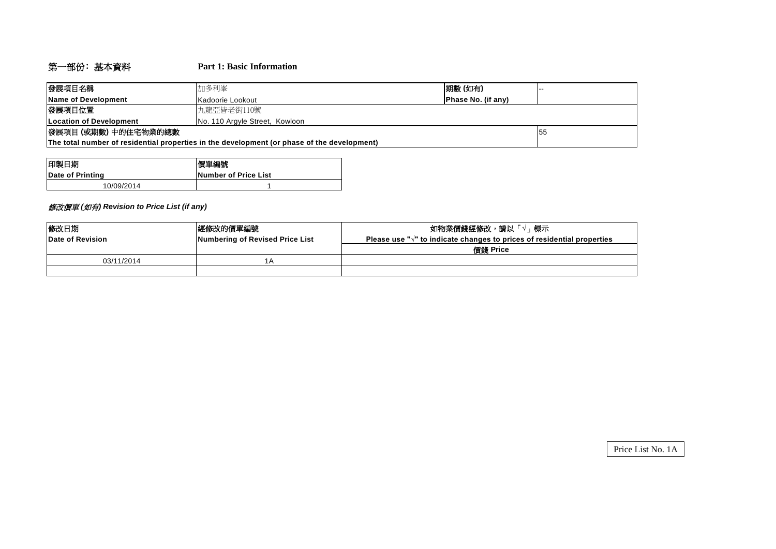# 第一部份﹕基本資料 **Part 1: Basic Information**

| 發展項目名稱                                                                                      | 加多利峯                           | 期數(如有)                    | . |  |  |  |  |
|---------------------------------------------------------------------------------------------|--------------------------------|---------------------------|---|--|--|--|--|
| Name of Development                                                                         | IKadoorie Lookout              | <b>Phase No. (if any)</b> |   |  |  |  |  |
| 發展項目位置                                                                                      | 九龍亞皆老街110號                     |                           |   |  |  |  |  |
| <b>ILocation of Development</b>                                                             | No. 110 Argyle Street, Kowloon |                           |   |  |  |  |  |
| 發展項目 (或期數) 中的住宅物業的總數                                                                        | 155                            |                           |   |  |  |  |  |
| The total number of residential properties in the development (or phase of the development) |                                |                           |   |  |  |  |  |

| 印製日期             | 價單編號                         |  |  |  |  |
|------------------|------------------------------|--|--|--|--|
| Date of Printing | <b>INumber of Price List</b> |  |  |  |  |
| 10/09/2014       |                              |  |  |  |  |

### 修改價單 *(*如有*) Revision to Price List (if any)*

| 修改日期             | 經修改的價單編號                        | 如物業價錢經修改,請以「√」標示                                                                  |
|------------------|---------------------------------|-----------------------------------------------------------------------------------|
| Date of Revision | Numbering of Revised Price List | Please use " $\sqrt{ }$ " to indicate changes to prices of residential properties |
|                  |                                 | 價錢 Price                                                                          |
| 03/11/2014       | 1Α                              |                                                                                   |
|                  |                                 |                                                                                   |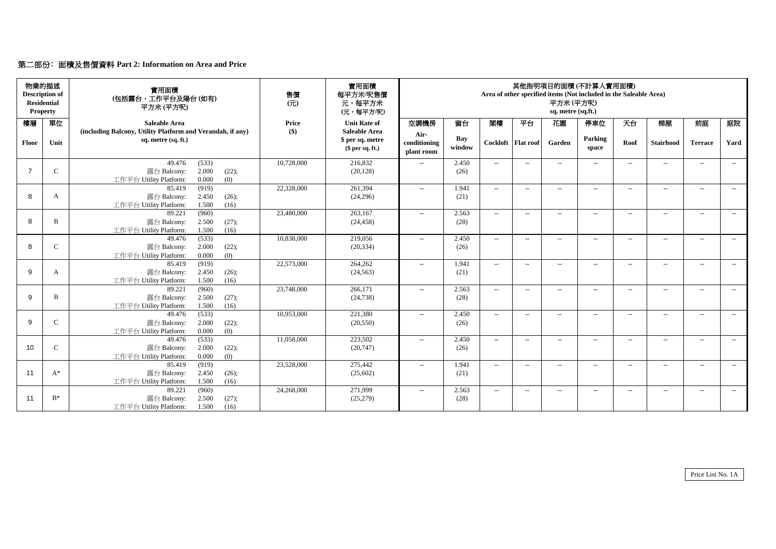# 第二部份﹕面積及售價資料 **Part 2: Information on Area and Price**

|              | 物業的描述<br><b>Description of</b><br><b>Residential</b><br><b>Property</b> | 實用面積<br>(包括露台,工作平台及陽台(如有)<br>平方米(平方呎)                      | 售價<br>$($ $\overline{\pi}$ $)$ | 實用面積<br>每平方米/呎售價<br>元,每平方米<br>(元,每平方/呎) | 其他指明項目的面積(不計算入實用面積)<br>Area of other specified items (Not included in the Saleable Area)<br>平方米(平方呎)<br>sq. metre (sq.ft.) |                      |                             |                          |                          |                  |                   |                  |                          |       |
|--------------|-------------------------------------------------------------------------|------------------------------------------------------------|--------------------------------|-----------------------------------------|----------------------------------------------------------------------------------------------------------------------------|----------------------|-----------------------------|--------------------------|--------------------------|------------------|-------------------|------------------|--------------------------|-------|
| 樓層           | 單位                                                                      | <b>Saleable Area</b>                                       | Price                          | <b>Unit Rate of</b>                     | 空調機房                                                                                                                       | 窗台                   | 閣樓                          | 平台                       | 花園                       | 停車位              | 天台                | 梯屋               | 前庭                       | 庭院    |
|              |                                                                         | (including Balcony, Utility Platform and Verandah, if any) | $\left( \text{\$}\right)$      | <b>Saleable Area</b>                    | Air-                                                                                                                       |                      |                             |                          |                          | Parking          |                   |                  |                          |       |
| <b>Floor</b> | Unit                                                                    | sq. metre (sq. ft.)                                        |                                | \$ per sq. metre<br>\$per sq. ft.)      | conditioning<br>plant room                                                                                                 | <b>Bay</b><br>window |                             | Cockloft   Flat roof     | Garden                   | space            | Roof              | <b>Stairhood</b> | <b>Terrace</b>           | Yard  |
|              |                                                                         | 49.476<br>(533)                                            | 10,728,000                     | 216,832                                 | $\mathcal{L}(\mathcal{L})$                                                                                                 | 2.450                | $-$                         | $--$                     | $--$                     | $---$            | $--$              | $---$            | $---$                    | $--$  |
|              | $\mathcal{C}$                                                           | 2.000<br>(22);<br>露台 Balcony:                              |                                | (20, 128)                               |                                                                                                                            | (26)                 |                             |                          |                          |                  |                   |                  |                          |       |
|              |                                                                         | 0.000<br>工作平台 Utility Platform:<br>(0)                     |                                |                                         |                                                                                                                            |                      |                             |                          |                          |                  |                   |                  |                          |       |
|              |                                                                         | (919)<br>85.419                                            | 22,328,000                     | 261,394                                 | $---$                                                                                                                      | 1.941                | $--$                        | $--$                     | $\overline{\phantom{a}}$ | $--$             | $--$              | $- -$            | $\qquad \qquad -$        | $---$ |
| 8            | A                                                                       | 露台 Balcony:<br>2.450<br>(26);                              |                                | (24,296)                                |                                                                                                                            | (21)                 |                             |                          |                          |                  |                   |                  |                          |       |
|              |                                                                         | 工作平台 Utility Platform:<br>1.500<br>(16)<br>89.221<br>(960) | 23,480,000                     | 263,167                                 | $---$                                                                                                                      | 2.563                | $\overline{a}$              | $--$                     | $-$                      | $--$             | $---$             | $-$              | $--$                     | $---$ |
| 8            | B                                                                       | 2.500<br>(27);<br>露台 Balcony:                              |                                | (24, 458)                               |                                                                                                                            | (28)                 |                             |                          |                          |                  |                   |                  |                          |       |
|              |                                                                         | 1.500<br>(16)<br>工作平台 Utility Platform:                    |                                |                                         |                                                                                                                            |                      |                             |                          |                          |                  |                   |                  |                          |       |
|              |                                                                         | (533)<br>49.476                                            | 10,838,000                     | 219,056                                 | $- -$                                                                                                                      | 2.450                | $--$                        | $\overline{\phantom{a}}$ | $\overline{a}$           | $--$             | $--$              | $- -$            | $\qquad \qquad -$        | $---$ |
| 8            |                                                                         | 2.000<br>露台 Balcony:<br>(22);                              |                                | (20, 334)                               |                                                                                                                            | (26)                 |                             |                          |                          |                  |                   |                  |                          |       |
|              |                                                                         | 0.000<br>(0)<br>工作平台 Utility Platform:                     |                                |                                         |                                                                                                                            |                      |                             |                          |                          |                  |                   |                  |                          |       |
|              |                                                                         | (919)<br>85.419                                            | 22,573,000                     | 264,262                                 | $\mathcal{L}(\mathcal{L})$                                                                                                 | 1.941                | $-$                         | $--$                     | $--$                     | $--$             | $--$              | $---$            | $--$                     | $--$  |
| 9            | A                                                                       | 露台 Balcony:<br>2.450<br>(26);                              |                                | (24, 563)                               |                                                                                                                            | (21)                 |                             |                          |                          |                  |                   |                  |                          |       |
|              |                                                                         | 1.500<br>工作平台 Utility Platform:<br>(16)                    |                                |                                         |                                                                                                                            |                      |                             |                          |                          |                  |                   |                  |                          |       |
|              |                                                                         | (960)<br>89.221                                            | 23,748,000                     | 266,171                                 | $- -$                                                                                                                      | 2.563                | $--$                        | $--$                     | $\overline{\phantom{a}}$ | $--$             | $\qquad \qquad -$ | $--$             | $\overline{\phantom{a}}$ | $---$ |
| 9            | B                                                                       | 露台 Balcony:<br>2.500<br>(27);                              |                                | (24, 738)                               |                                                                                                                            | (28)                 |                             |                          |                          |                  |                   |                  |                          |       |
|              |                                                                         | 工作平台 Utility Platform:<br>1.500<br>(16)<br>(533)<br>49.476 | 10,953,000                     | 221,380                                 |                                                                                                                            | 2.450                |                             |                          |                          |                  |                   |                  |                          |       |
| 9            | $\mathsf{C}$                                                            | 2.000<br>(22);<br>露台 Balcony:                              |                                | (20, 550)                               | $--$                                                                                                                       | (26)                 | $--$                        | $--$                     | $-$                      | $--$             | $\qquad \qquad -$ | $--$             | $--$                     | $---$ |
|              |                                                                         | 工作平台 Utility Platform:<br>0.000<br>(0)                     |                                |                                         |                                                                                                                            |                      |                             |                          |                          |                  |                   |                  |                          |       |
|              |                                                                         | 49.476<br>(533)                                            | 11,058,000                     | 223,502                                 | $-$                                                                                                                        | 2.450                | $\overline{\phantom{a}}$    | $--$                     | $--$                     | $\mathrel{{-}-}$ | $--$              | $- -$            | $--$                     | $--$  |
| 10           | $\mathcal{C}$                                                           | 2.000<br>露台 Balcony:<br>(22);                              |                                | (20, 747)                               |                                                                                                                            | (26)                 |                             |                          |                          |                  |                   |                  |                          |       |
|              |                                                                         | 工作平台 Utility Platform:<br>0.000<br>(0)                     |                                |                                         |                                                                                                                            |                      |                             |                          |                          |                  |                   |                  |                          |       |
|              |                                                                         | 85.419<br>(919)                                            | 23,528,000                     | 275,442                                 | $\mathcal{L}(\mathcal{L})$                                                                                                 | 1.941                | $--$                        | $--$                     | $--$                     | $\mathrel{{-}-}$ | $--$              | $--$             | $--$                     | $--$  |
| 11           | $A^*$                                                                   | 露台 Balcony:<br>2.450<br>(26);                              |                                | (25,602)                                |                                                                                                                            | (21)                 |                             |                          |                          |                  |                   |                  |                          |       |
|              |                                                                         | 工作平台 Utility Platform:<br>1.500<br>(16)                    |                                |                                         |                                                                                                                            |                      |                             |                          |                          |                  |                   |                  |                          |       |
|              |                                                                         | 89.221<br>(960)                                            | 24,268,000                     | 271,999                                 | $-$                                                                                                                        | 2.563                | $\mathcal{L}_{\mathcal{F}}$ | $--$                     | $--$                     | $--$             | $---$             | $--$             | $--$                     | $--$  |
| 11           | $B^*$                                                                   | 露台 Balcony:<br>2.500<br>(27);                              |                                | (25,279)                                |                                                                                                                            | (28)                 |                             |                          |                          |                  |                   |                  |                          |       |
|              |                                                                         | 工作平台 Utility Platform:<br>1.500<br>(16)                    |                                |                                         |                                                                                                                            |                      |                             |                          |                          |                  |                   |                  |                          |       |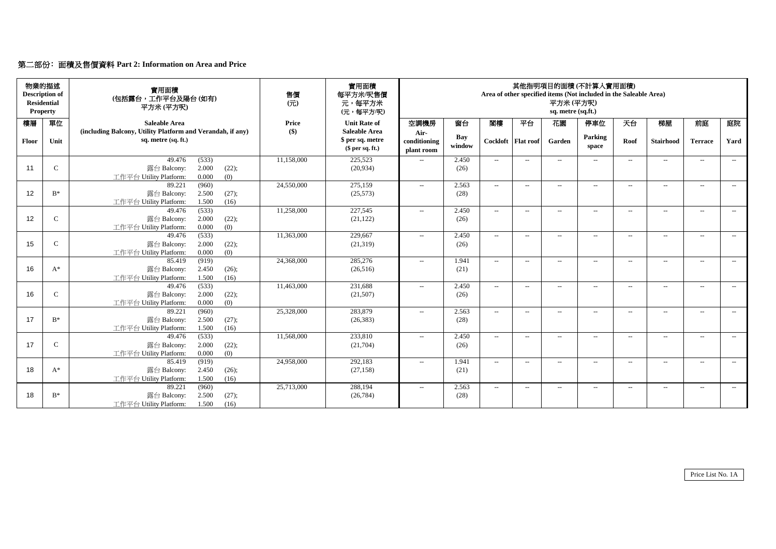|  |  | 第二部份: 面積及售價資料 Part 2: Information on Area and Price |  |
|--|--|-----------------------------------------------------|--|
|--|--|-----------------------------------------------------|--|

|       | 物業的描述<br><b>Description of</b><br><b>Residential</b><br><b>Property</b> | 實用面積<br>(包括露台,工作平台及陽台(如有)<br>平方米(平方呎)                      | 售價<br>$(\overrightarrow{\pi})$ | 實用面積<br>每平方米/呎售價<br>元,每平方米<br>(元,每平方/呎) | 其他指明項目的面積(不計算入實用面積)<br>Area of other specified items (Not included in the Saleable Area)<br>平方米 (平方呎)<br>sq. metre (sq.ft.) |               |                             |                      |                          |         |                   |                  |                |        |
|-------|-------------------------------------------------------------------------|------------------------------------------------------------|--------------------------------|-----------------------------------------|-----------------------------------------------------------------------------------------------------------------------------|---------------|-----------------------------|----------------------|--------------------------|---------|-------------------|------------------|----------------|--------|
| 樓層    | 單位                                                                      | <b>Saleable Area</b>                                       | <b>Price</b>                   | <b>Unit Rate of</b>                     | 空調機房                                                                                                                        | 窗台            | 閣樓                          | 平台                   | 花園                       | 停車位     | 天台                | 梯屋               | 前庭             | 庭院     |
|       |                                                                         | (including Balcony, Utility Platform and Verandah, if any) | $\left( \text{\$}\right)$      | <b>Saleable Area</b>                    | Air-                                                                                                                        | Bay           |                             |                      |                          | Parking |                   |                  |                |        |
| Floor | Unit                                                                    | sq. metre (sq. ft.)                                        |                                | \$ per sq. metre<br>\$per sq. ft.)      | conditioning<br>plant room                                                                                                  | window        |                             | Cockloft   Flat roof | Garden                   | space   | Roof              | <b>Stairhood</b> | <b>Terrace</b> | Yard   |
|       |                                                                         | (533)<br>49.476                                            | 11,158,000                     | 225,523                                 | $---$                                                                                                                       | 2.450         | $ -$                        | $--$                 | $--$                     | $---$   | $--$              | $---$            | $--$           | $---$  |
| 11    | $\mathsf{C}$                                                            | 2.000<br>露台 Balcony:<br>(22);                              |                                | (20, 934)                               |                                                                                                                             | (26)          |                             |                      |                          |         |                   |                  |                |        |
|       |                                                                         | (0)<br>0.000<br>工作平台 Utility Platform:                     |                                |                                         |                                                                                                                             |               |                             |                      |                          |         |                   |                  |                |        |
| 12    | $B^*$                                                                   | 89.221<br>(960)<br>2.500<br>(27);<br>露台 Balcony:           | 24,550,000                     | 275,159<br>(25,573)                     | $\mathcal{L}(\mathcal{L})$                                                                                                  | 2.563<br>(28) | $--$                        | $--$                 | $\overline{a}$           | $-$     | $--$              | $---$            | $--$           | $  \,$ |
|       |                                                                         | 1.500<br>(16)<br>工作平台 Utility Platform:                    |                                |                                         |                                                                                                                             |               |                             |                      |                          |         |                   |                  |                |        |
|       |                                                                         | (533)<br>49.476                                            | 11,258,000                     | 227,545                                 | $- -$                                                                                                                       | 2.450         | $--$                        | $--$                 | $-$                      | $-$     | $---$             | $--$             | $--$           | $---$  |
| 12    | $\mathsf{C}$                                                            | 2.000<br>露台 Balcony:<br>(22);                              |                                | (21, 122)                               |                                                                                                                             | (26)          |                             |                      |                          |         |                   |                  |                |        |
|       |                                                                         | 0.000<br>(0)<br>工作平台 Utility Platform:                     |                                |                                         |                                                                                                                             |               |                             |                      |                          |         |                   |                  |                |        |
|       |                                                                         | (533)<br>49.476                                            | 11,363,000                     | 229,667                                 | $\mathcal{L}(\mathcal{L})$                                                                                                  | 2.450         | $--$                        | $--$                 | $--$                     | $--$    | $---$             | $--$             | $--$           | $  \,$ |
| 15    | $\mathcal{C}$                                                           | 2.000<br>(22);<br>露台 Balcony:                              |                                | (21,319)                                |                                                                                                                             | (26)          |                             |                      |                          |         |                   |                  |                |        |
|       |                                                                         | 工作平台 Utility Platform:<br>0.000<br>(0)                     |                                |                                         |                                                                                                                             |               |                             |                      |                          |         |                   |                  |                |        |
| 16    | $A^*$                                                                   | (919)<br>85.419<br>2.450<br>露台 Balcony:<br>(26);           | 24,368,000                     | 285,276<br>(26,516)                     | $\mathcal{L}(\mathcal{L})$                                                                                                  | 1.941<br>(21) | $--$                        | $--$                 | $--$                     | $--$    | $--$              | $--$             | $  \,$         | $--$   |
|       |                                                                         | 1.500<br>(16)<br>工作平台 Utility Platform:                    |                                |                                         |                                                                                                                             |               |                             |                      |                          |         |                   |                  |                |        |
|       |                                                                         | (533)<br>49.476                                            | 11,463,000                     | 231,688                                 | $\mathcal{L}(\mathcal{L})$                                                                                                  | 2.450         | $--$                        | $--$                 | $--$                     | $---$   | $--$              | $\frac{1}{2}$    | $--$           | $--$   |
| 16    | $\mathcal{C}$                                                           | 2.000<br>(22);<br>露台 Balcony:                              |                                | (21,507)                                |                                                                                                                             | (26)          |                             |                      |                          |         |                   |                  |                |        |
|       |                                                                         | 0.000<br>工作平台 Utility Platform:<br>(0)                     |                                |                                         |                                                                                                                             |               |                             |                      |                          |         |                   |                  |                |        |
|       |                                                                         | 89.221<br>(960)                                            | 25,328,000                     | 283,879                                 | $---$                                                                                                                       | 2.563         | $\overline{\phantom{a}}$    | $--$                 | $-$                      | $--$    | $\qquad \qquad -$ | $--$             | $--$           | $--$   |
| 17    | $B^*$                                                                   | 2.500<br>(27);<br>露台 Balcony:                              |                                | (26, 383)                               |                                                                                                                             | (28)          |                             |                      |                          |         |                   |                  |                |        |
|       |                                                                         | 工作平台 Utility Platform:<br>1.500<br>(16)                    |                                |                                         |                                                                                                                             |               |                             |                      |                          |         |                   |                  |                |        |
|       |                                                                         | 49.476<br>(533)                                            | 11,568,000                     | 233,810                                 | $---$                                                                                                                       | 2.450         | $\mathcal{L}_{\mathcal{F}}$ | $--$                 | $\hspace{0.05cm} \ldots$ | $--$    | $\qquad \qquad -$ | $--$             | $--$           | $--$   |
| 17    | $\mathcal{C}$                                                           | 2.000<br>露台 Balcony:<br>(22);                              |                                | (21,704)                                |                                                                                                                             | (26)          |                             |                      |                          |         |                   |                  |                |        |
|       |                                                                         | 工作平台 Utility Platform:<br>0.000<br>(0)<br>85.419<br>(919)  | 24,958,000                     | 292,183                                 | $--$                                                                                                                        | 1.941         | $--$                        | $--$                 |                          | $--$    |                   | $--$             | $--$           |        |
| 18    | $A^*$                                                                   | 露台 Balcony:<br>2.450<br>(26);                              |                                | (27, 158)                               |                                                                                                                             | (21)          |                             |                      | $--$                     |         | $--$              |                  |                | $--$   |
|       |                                                                         | 工作平台 Utility Platform:<br>1.500<br>(16)                    |                                |                                         |                                                                                                                             |               |                             |                      |                          |         |                   |                  |                |        |
|       |                                                                         | 89.221<br>(960)                                            | 25,713,000                     | 288,194                                 | $--$                                                                                                                        | 2.563         | $--$                        | $--$                 | $--$                     | $--$    | $--$              | $--$             | $--$           | $--$   |
| 18    | $B^*$                                                                   | 2.500<br>露台 Balcony:<br>(27);                              |                                | (26, 784)                               |                                                                                                                             | (28)          |                             |                      |                          |         |                   |                  |                |        |
|       |                                                                         | 工作平台 Utility Platform:<br>1.500<br>(16)                    |                                |                                         |                                                                                                                             |               |                             |                      |                          |         |                   |                  |                |        |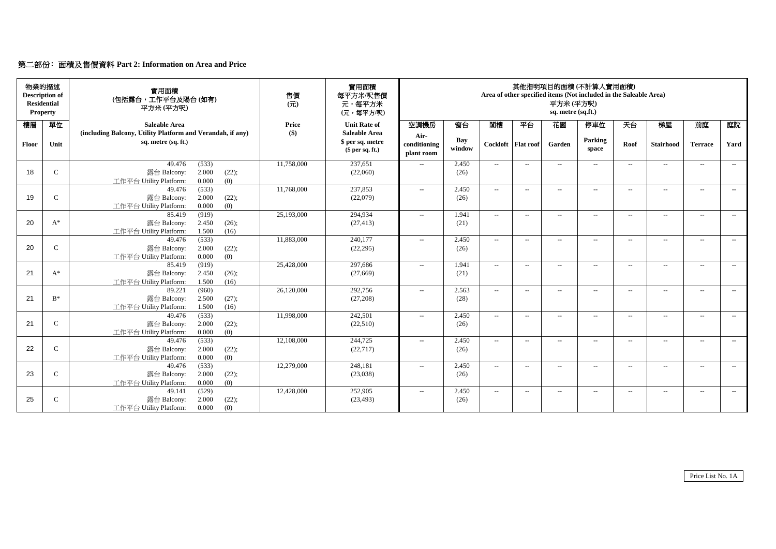# 第二部份﹕面積及售價資料 **Part 2: Information on Area and Price**

| <b>Property</b> | 物業的描述<br><b>Description of</b><br><b>Residential</b> | 實用面積<br>(包括露台,工作平台及陽台(如有)<br>平方米(平方呎)                                             | 售價<br>(元)                 | 實用面積<br>每平方米/呎售價<br>元,每平方米<br>(元,每平方/呎)  | 其他指明項目的面積(不計算入實用面積)<br>Area of other specified items (Not included in the Saleable Area)<br>平方米(平方呎)<br>sq. metre (sq.ft.) |               |        |                          |                          |                          |        |                  |                   |       |
|-----------------|------------------------------------------------------|-----------------------------------------------------------------------------------|---------------------------|------------------------------------------|----------------------------------------------------------------------------------------------------------------------------|---------------|--------|--------------------------|--------------------------|--------------------------|--------|------------------|-------------------|-------|
| 樓層              | 單位                                                   | <b>Saleable Area</b>                                                              | <b>Price</b>              | <b>Unit Rate of</b>                      | 空調機房                                                                                                                       | 窗台            | 閣樓     | 平台                       | 花園                       | 停車位                      | 天台     | 梯屋               | 前庭                | 庭院    |
|                 |                                                      | (including Balcony, Utility Platform and Verandah, if any)<br>sq. metre (sq. ft.) | $\left( \text{\$}\right)$ | <b>Saleable Area</b><br>\$ per sq. metre | Air-                                                                                                                       | Bay           |        |                          |                          | Parking                  |        |                  |                   |       |
| <b>Floor</b>    | Unit                                                 |                                                                                   |                           | \$per sq. ft.)                           | conditioning<br>plant room                                                                                                 | window        |        | Cockloft   Flat roof     | Garden                   | space                    | Roof   | <b>Stairhood</b> | <b>Terrace</b>    | Yard  |
|                 |                                                      | (533)<br>49.476                                                                   | 11,758,000                | 237,651                                  | $---$                                                                                                                      | 2.450         | $--$   | $-$                      | $-$                      | $---$                    | $- -$  | $-$              | $---$             | $--$  |
| 18              | $\mathsf{C}$                                         | 2.000<br>露台 Balcony:<br>(22);                                                     |                           | (22,060)                                 |                                                                                                                            | (26)          |        |                          |                          |                          |        |                  |                   |       |
|                 |                                                      | 0.000<br>(0)<br>工作平台 Utility Platform:<br>49.476<br>(533)                         | 11,768,000                | 237,853                                  |                                                                                                                            | 2.450         | $-$    | $---$                    |                          | $\overline{\phantom{a}}$ |        |                  | $---$             | $--$  |
| 19              | $\mathcal{C}$                                        | 2.000<br>(22);<br>露台 Balcony:                                                     |                           | (22,079)                                 | $\mathcal{L}_{\mathcal{L}}$                                                                                                | (26)          |        |                          | $--$                     |                          | $--$   | $---$            |                   |       |
|                 |                                                      | 工作平台 Utility Platform:<br>0.000<br>(0)                                            |                           |                                          |                                                                                                                            |               |        |                          |                          |                          |        |                  |                   |       |
|                 |                                                      | (919)<br>85.419                                                                   | 25,193,000                | 294,934                                  | $- -$                                                                                                                      | 1.941         | $-$    | $---$                    | $ -$                     | $\overline{\phantom{a}}$ | $---$  | $---$            | $--$              | $--$  |
| 20              | $A^*$                                                | 2.450<br>露台 Balcony:<br>(26);                                                     |                           | (27, 413)                                |                                                                                                                            | (21)          |        |                          |                          |                          |        |                  |                   |       |
|                 |                                                      | 1.500<br>(16)<br>工作平台 Utility Platform:                                           |                           |                                          |                                                                                                                            |               |        |                          |                          |                          |        |                  |                   |       |
|                 |                                                      | (533)<br>49.476                                                                   | 11,883,000                | 240,177                                  | $- -$                                                                                                                      | 2.450         | $-$    | $--$                     | $--$                     | $\overline{\phantom{a}}$ | $--$   | $- -$            | $--$              | $---$ |
| 20              | $\mathcal{C}$                                        | 2.000<br>(22);<br>露台 Balcony:                                                     |                           | (22, 295)                                |                                                                                                                            | (26)          |        |                          |                          |                          |        |                  |                   |       |
|                 |                                                      | 0.000<br>(0)<br>工作平台 Utility Platform:<br>85.419<br>(919)                         | 25,428,000                | 297,686                                  |                                                                                                                            | 1.941         | $--$   |                          |                          |                          |        |                  |                   |       |
| 21              | $A^*$                                                | 2.450<br>露台 Balcony:<br>(26);                                                     |                           | (27,669)                                 | $- -$                                                                                                                      | (21)          |        | $\overline{\phantom{a}}$ | $--$                     | $\overline{\phantom{a}}$ | $--$   | $- -$            | $\qquad \qquad -$ | $--$  |
|                 |                                                      | 1.500<br>(16)<br>工作平台 Utility Platform:                                           |                           |                                          |                                                                                                                            |               |        |                          |                          |                          |        |                  |                   |       |
|                 |                                                      | (960)<br>89.221                                                                   | 26,120,000                | 292,756                                  | $-$                                                                                                                        | 2.563         | $-$    | $--$                     | $--$                     | $\overline{\phantom{a}}$ | $---$  | $---$            | $---$             | $--$  |
| 21              | $B^*$                                                | 2.500<br>(27);<br>露台 Balcony:                                                     |                           | (27,208)                                 |                                                                                                                            | (28)          |        |                          |                          |                          |        |                  |                   |       |
|                 |                                                      | 工作平台 Utility Platform:<br>1.500<br>(16)                                           |                           |                                          |                                                                                                                            |               |        |                          |                          |                          |        |                  |                   |       |
|                 |                                                      | (533)<br>49.476                                                                   | 11,998,000                | 242,501                                  | $\mathcal{L}_{\mathcal{L}}$                                                                                                | 2.450         | $--$   | $--$                     | $\qquad \qquad -$        | $---$                    | $--$   | $---$            | $--$              | $---$ |
| 21              | $\mathcal{C}$                                        | 2.000<br>(22);<br>露台 Balcony:                                                     |                           | (22,510)                                 |                                                                                                                            | (26)          |        |                          |                          |                          |        |                  |                   |       |
|                 |                                                      | 工作平台 Utility Platform:<br>0.000<br>(0)                                            |                           |                                          |                                                                                                                            |               |        |                          |                          |                          |        |                  |                   |       |
| 22              | $\mathbf C$                                          | (533)<br>49.476<br>露台 Balcony:<br>2.000<br>(22);                                  | 12,108,000                | 244,725<br>(22, 717)                     | $-$                                                                                                                        | 2.450<br>(26) | $\sim$ | $--$                     | $-$                      | $---$                    | $--$   | $--$             | $---$             | $--$  |
|                 |                                                      | 工作平台 Utility Platform:<br>0.000<br>(0)                                            |                           |                                          |                                                                                                                            |               |        |                          |                          |                          |        |                  |                   |       |
|                 |                                                      | 49.476<br>(533)                                                                   | 12,279,000                | 248,181                                  | $- -$                                                                                                                      | 2.450         | $\sim$ | $--$                     | $\overline{\phantom{a}}$ | $---$                    | $--$   | $--$             | $--$              | $--$  |
| 23              | $\mathcal{C}$                                        | 2.000<br>露台 Balcony:<br>(22);                                                     |                           | (23,038)                                 |                                                                                                                            | (26)          |        |                          |                          |                          |        |                  |                   |       |
|                 |                                                      | 工作平台 Utility Platform:<br>0.000<br>(0)                                            |                           |                                          |                                                                                                                            |               |        |                          |                          |                          |        |                  |                   |       |
|                 |                                                      | 49.141<br>(529)                                                                   | 12,428,000                | 252,905                                  | $--$                                                                                                                       | 2.450         | $\sim$ | $--$                     | $--$                     | $--$                     | $- \,$ | $--$             | $--$              | $--$  |
| 25              | $\mathcal{C}$                                        | 露台 Balcony:<br>2.000<br>(22);                                                     |                           | (23, 493)                                |                                                                                                                            | (26)          |        |                          |                          |                          |        |                  |                   |       |
|                 |                                                      | 工作平台 Utility Platform:<br>0.000<br>(0)                                            |                           |                                          |                                                                                                                            |               |        |                          |                          |                          |        |                  |                   |       |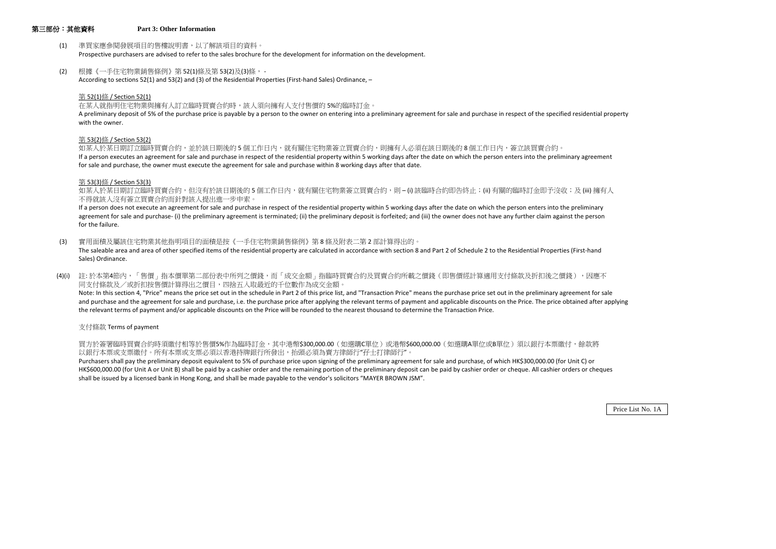## 第三部份:其他資料 **Part 3: Other Information**

- (1) 準買家應參閱發展項目的售樓說明書,以了解該項目的資料。 Prospective purchasers are advised to refer to the sales brochure for the development for information on the development.
- (2) 根據《一手住宅物業銷售條例》第 52(1)條及第 53(2)及(3)條, According to sections 52(1) and 53(2) and (3) of the Residential Properties (First-hand Sales) Ordinance, –

在某人就指明住宅物業與擁有人訂立臨時買賣合約時,該人須向擁有人支付售價的 5%的臨時訂金。 A preliminary deposit of 5% of the purchase price is payable by a person to the owner on entering into a preliminary agreement for sale and purchase in respect of the specified residential property with the owner.

## 第 52(1)條 / Section 52(1)

如某人於某日期訂立臨時買賣合約,並於該日期後的5個工作日內,就有關住宅物業簽立買賣合約,則擁有人必須在該日期後的8個工作日內,簽立該買賣合約。 If a person executes an agreement for sale and purchase in respect of the residential property within 5 working days after the date on which the person enters into the preliminary agreement for sale and purchase, the owner must execute the agreement for sale and purchase within 8 working days after that date.

如某人於某日期訂立臨時買賣合約,但沒有於該日期後的5個工作日內,就有關住宅物業簽立買賣合約,則-(i)該臨時合約即告終止;(ii) 有關的臨時訂金即予沒收;及 (iii) 擁有人 不得就該人沒有簽立買賣合約而針對該人提出進一步申索。

## 第 53(2)條 / Section 53(2)

If a person does not execute an agreement for sale and purchase in respect of the residential property within 5 working days after the date on which the person enters into the preliminary agreement for sale and purchase- (i) the preliminary agreement is terminated; (ii) the preliminary deposit is forfeited; and (iii) the owner does not have any further claim against the person for the failure.

## 第 53(3)條 / Section 53(3)

(4)(i) 註:於本第4節內,「售價」指本價單第二部份表中所列之價錢,而「成交金額」指臨時買賣合約及買賣合約所載之價錢(即售價經計算適用支付條款及折扣後之價錢),因應不 同支付條款及/或折扣按售價計算得出之價目,四捨五入取最近的千位數作為成交金額。 Note: In this section 4, "Price" means the price set out in the schedule in Part 2 of this price list, and "Transaction Price" means the purchase price set out in the preliminary agreement for sale and purchase and the agreement for sale and purchase, i.e. the purchase price after applying the relevant terms of payment and applicable discounts on the Price. The price obtained after applying the relevant terms of payment and/or applicable discounts on the Price will be rounded to the nearest thousand to determine the Transaction Price.

(3) 實用面積及屬該住宅物業其他指明項目的面積是按《一手住宅物業銷售條例》第 8 條及附表二第 2 部計算得出的。 The saleable area and area of other specified items of the residential property are calculated in accordance with section 8 and Part 2 of Schedule 2 to the Residential Properties (First-hand Sales) Ordinance.

支付條款 Terms of payment

買方於簽署臨時買賣合約時須繳付相等於售價5%作為臨時訂金,其中港幣\$300,000.00(如選購C單位)或港幣\$600,000.00(如選購A單位或B單位)須以銀行本票繳付,餘款將 以銀行本票或支票繳付。所有本票或支票必須以香港持牌銀行所發出,抬頭必須為賣方律師行"孖士打律師行"。

Purchasers shall pay the preliminary deposit equivalent to 5% of purchase price upon signing of the preliminary agreement for sale and purchase, of which HK\$300,000.00 (for Unit C) or HK\$600,000.00 (for Unit A or Unit B) shall be paid by a cashier order and the remaining portion of the preliminary deposit can be paid by cashier order or cheque. All cashier orders or cheques shall be issued by a licensed bank in Hong Kong, and shall be made payable to the vendor's solicitors "MAYER BROWN JSM".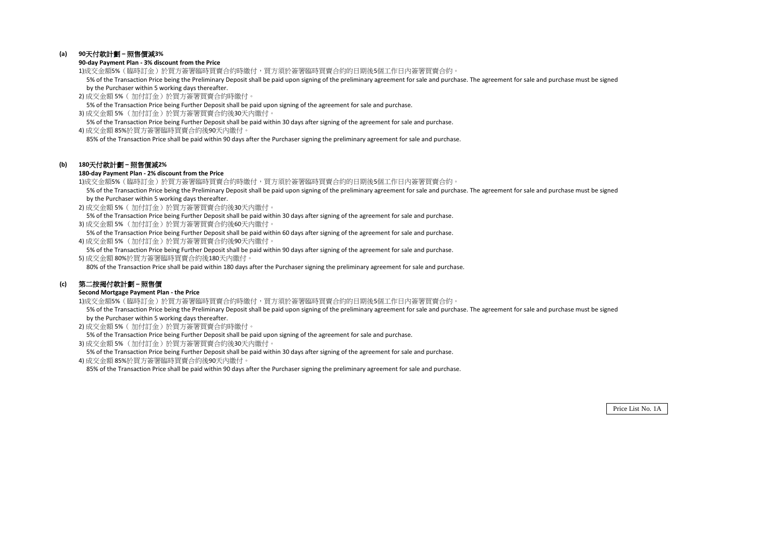## **(a) 90**天付款計劃 **–** 照售價減**3%**

#### **90-day Payment Plan - 3% discount from the Price**

- 1)成交金額5%(臨時訂金)於買方簽署臨時買賣合約時繳付,買方須於簽署臨時買賣合約的日期後5個工作日內簽署買賣合約。 5% of the Transaction Price being the Preliminary Deposit shall be paid upon signing of the preliminary agreement for sale and purchase. The agreement for sale and purchase must be signed by the Purchaser within 5 working days thereafter.
- 2) 成交金額 5%( 加付訂金)於買方簽署買賣合約時繳付。

5% of the Transaction Price being Further Deposit shall be paid upon signing of the agreement for sale and purchase.

3) 成交金額 5% (加付訂金)於買方簽署買賣合約後30天內繳付。

 5% of the Transaction Price being Further Deposit shall be paid within 30 days after signing of the agreement for sale and purchase. 4) 成交金額 85%於買方簽署臨時買賣合約後90天內繳付。

85% of the Transaction Price shall be paid within 90 days after the Purchaser signing the preliminary agreement for sale and purchase.

## **(b) 180**天付款計劃 **–** 照售價減**2%**

- 1)成交金額5%(臨時訂金)於買方簽署臨時買賣合約時繳付,買方須於簽署臨時買賣合約的日期後5個工作日內簽署買賣合約。 5% of the Transaction Price being the Preliminary Deposit shall be paid upon signing of the preliminary agreement for sale and purchase. The agreement for sale and purchase must be signed by the Purchaser within 5 working days thereafter.
- 2) 成交金額 5%( 加付訂金)於買方簽署買賣合約後30天內繳付。
- 5% of the Transaction Price being Further Deposit shall be paid within 30 days after signing of the agreement for sale and purchase. 3) 成交金額 5% (加付訂金)於買方簽署買賣合約後60天內繳付。
- 5% of the Transaction Price being Further Deposit shall be paid within 60 days after signing of the agreement for sale and purchase. 4) 成交金額 5% (加付訂金)於買方簽署買賣合約後90天內繳付。
- 5% of the Transaction Price being Further Deposit shall be paid within 90 days after signing of the agreement for sale and purchase. 5) 成交金額 80%於買方簽署臨時買賣合約後180天內繳付。

## **180-day Payment Plan - 2% discount from the Price**

80% of the Transaction Price shall be paid within 180 days after the Purchaser signing the preliminary agreement for sale and purchase.

## **(c)** 第二按揭付款計劃 **–** 照售價

#### **Second Mortgage Payment Plan - the Price**

- 1)成交金額5%(臨時訂金)於買方簽署臨時買賣合約時繳付,買方須於簽署臨時買賣合約的日期後5個工作日內簽署買賣合約。 5% of the Transaction Price being the Preliminary Deposit shall be paid upon signing of the preliminary agreement for sale and purchase. The agreement for sale and purchase must be signed by the Purchaser within 5 working days thereafter.
- 2) 成交金額 5%( 加付訂金)於買方簽署買賣合約時繳付。
- 5% of the Transaction Price being Further Deposit shall be paid upon signing of the agreement for sale and purchase.
- 3) 成交金額 5% (加付訂金)於買方簽署買賣合約後30天內繳付。

5% of the Transaction Price being Further Deposit shall be paid within 30 days after signing of the agreement for sale and purchase.

4) 成交金額 85%於買方簽署臨時買賣合約後90天內繳付。

85% of the Transaction Price shall be paid within 90 days after the Purchaser signing the preliminary agreement for sale and purchase.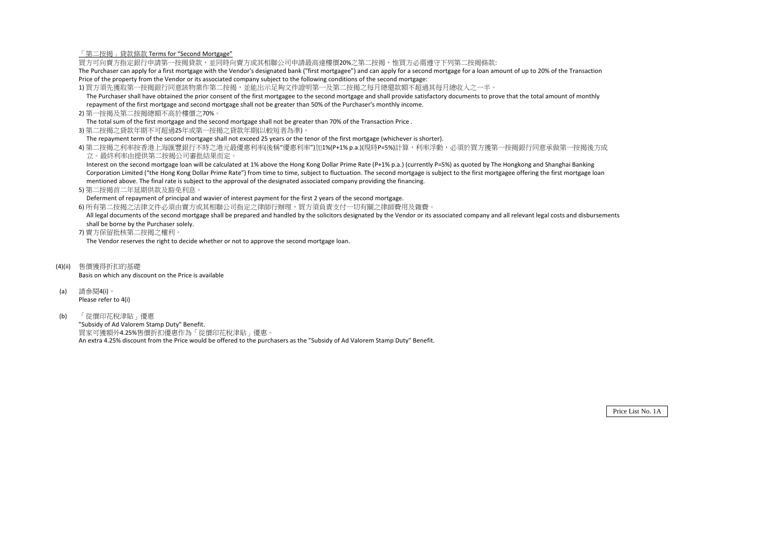「第二按揭」貸款條款 Terms for "Second Mortgage"

買方可向賣方指定銀行申請第一按揭貸款,並同時向賣方或其相聯公司申請最高達樓價20%之第二按揭,惟買方必需遵守下列第二按揭條款: The Purchaser can apply for a first mortgage with the Vendor's designated bank ("first mortgagee") and can apply for a second mortgage for a loan amount of up to 20% of the Transaction Price of the property from the Vendor or its associated company subject to the following conditions of the second mortgage:

- 1) 買方須先獲取第一按揭銀行同意該物業作第二按揭,並能出示足夠文件證明第一及第二按揭之每月總還款額不超過其每月總收入之一半。 The Purchaser shall have obtained the prior consent of the first mortgagee to the second mortgage and shall provide satisfactory documents to prove that the total amount of monthly repayment of the first mortgage and second mortgage shall not be greater than 50% of the Purchaser's monthly income.
- 2) 第一按揭及第二按揭總額不高於樓價之70%。

4) 第二按揭之利率按香港上海匯豐銀行不時之港元最優惠利率(後稱"優惠利率")加1%(P+1% p.a.)(現時P=5%)計算,利率浮動,必須於買方獲第一按揭銀行同意承做第一按揭後方成 立。最終利率由提供第二按揭公司審批結果而定。

The total sum of the first mortgage and the second mortgage shall not be greater than 70% of the Transaction Price .

3) 第二按揭之貸款年期不可超過25年或第一按揭之貸款年期(以較短者為準)。

The repayment term of the second mortgage shall not exceed 25 years or the tenor of the first mortgage (whichever is shorter).

All legal documents of the second mortgage shall be prepared and handled by the solicitors designated by the Vendor or its associated company and all relevant legal costs and disbursements shall be borne by the Purchaser solely.

 Interest on the second mortgage loan will be calculated at 1% above the Hong Kong Dollar Prime Rate (P+1% p.a.) (currently P=5%) as quoted by The Hongkong and Shanghai Banking Corporation Limited ("the Hong Kong Dollar Prime Rate") from time to time, subject to fluctuation. The second mortgage is subject to the first mortgagee offering the first mortgage loan mentioned above. The final rate is subject to the approval of the designated associated company providing the financing.

5) 第二按揭首二年延期供款及豁免利息。

Deferment of repayment of principal and wavier of interest payment for the first 2 years of the second mortgage.

6) 所有第二按揭之法律文件必須由賣方或其相聯公司指定之律師行辦理,買方須負責支付一切有關之律師費用及雜費。

7) 賣方保留批核第二按揭之權利。

The Vendor reserves the right to decide whether or not to approve the second mortgage loan.

- (4)(ii) 售價獲得折扣的基礎 Basis on which any discount on the Price is available
- (a) 請參閱4(i)。 Please refer to 4(i)
- (b) 「從價印花稅津貼」優惠

"Subsidy of Ad Valorem Stamp Duty" Benefit. 買家可獲額外4.25%售價折扣優惠作為「從價印花稅津貼」優惠。 An extra 4.25% discount from the Price would be offered to the purchasers as the "Subsidy of Ad Valorem Stamp Duty" Benefit.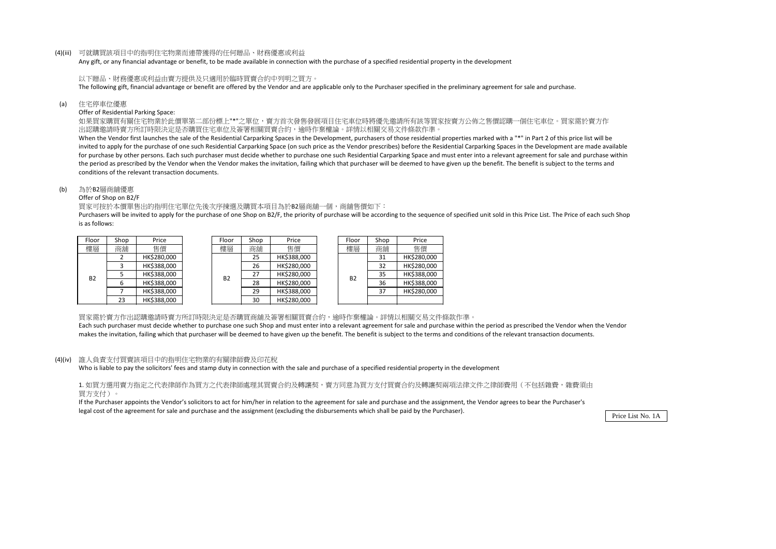#### (4)(iii) 可就購買該項目中的指明住宅物業而連帶獲得的任何贈品、財務優惠或利益

Any gift, or any financial advantage or benefit, to be made available in connection with the purchase of a specified residential property in the development

以下贈品、財務優惠或利益由賣方提供及只適用於臨時買賣合約中列明之買方。 The following gift, financial advantage or benefit are offered by the Vendor and are applicable only to the Purchaser specified in the preliminary agreement for sale and purchase.

(a) 住宅停車位優惠

#### Offer of Residential Parking Space:

如果買家購買有關住宅物業於此價單第二部份標上"\*"之單位,賣方首次發售發展項目住宅車位時將優先邀請所有該等買家按賣方公佈之售價認購一個住宅車位。買家需於賣方作 出認購邀請時賣方所訂時限決定是否購買住宅車位及簽署相關買賣合約,逾時作棄權論。詳情以相關交易文件條款作準。

When the Vendor first launches the sale of the Residential Carparking Spaces in the Development, purchasers of those residential properties marked with a "\*" in Part 2 of this price list will be invited to apply for the purchase of one such Residential Carparking Space (on such price as the Vendor prescribes) before the Residential Carparking Spaces in the Development are made available for purchase by other persons. Each such purchaser must decide whether to purchase one such Residential Carparking Space and must enter into a relevant agreement for sale and purchase within the period as prescribed by the Vendor when the Vendor makes the invitation, failing which that purchaser will be deemed to have given up the benefit. The benefit is subject to the terms and conditions of the relevant transaction documents.

Purchasers will be invited to apply for the purchase of one Shop on B2/F, the priority of purchase will be according to the sequence of specified unit sold in this Price List. The Price of each such Shop is as follows:

| Floor | Shop | Price       |
|-------|------|-------------|
| 樓層    | 商舖   | 售價          |
|       | 2    | HK\$280,000 |
|       | ξ    | HK\$388,000 |
| B2    | 5    | HK\$388,000 |
|       | 6    | HK\$388,000 |
|       | 7    | HK\$388,000 |
|       | 23   | HK\$388,000 |

1. 如買方選用賣方指定之代表律師作為買方之代表律師處理其買賣合約及轉讓契,賣方同意為買方支付買賣合約及轉讓契兩項法律文件之律師費用(不包括雜費,雜費須由 買方支付)。

#### (b) 為於B2層商舖優惠

Offer of Shop on B2/F

買家可按於本價單售出的指明住宅單位先後次序揀選及購買本項目為於B2層商舖一個,商舖售價如下:

買家需於賣方作出認購邀請時賣方所訂時限決定是否購買商舖及簽署相關買賣合約,逾時作棄權論。詳情以相關交易文件條款作準。 Each such purchaser must decide whether to purchase one such Shop and must enter into a relevant agreement for sale and purchase within the period as prescribed the Vendor when the Vendor makes the invitation, failing which that purchaser will be deemed to have given up the benefit. The benefit is subject to the terms and conditions of the relevant transaction documents.

| Floor     | Shop | Price       | Floor     | Shop | Price       | Floor     | Shop | Price       |
|-----------|------|-------------|-----------|------|-------------|-----------|------|-------------|
| 樓層        | 商舖   | 售價          | 樓層        | 商舖   | 售價          | 樓層        | 商舖   | 售價          |
|           |      | HK\$280,000 |           | 25   | HK\$388,000 |           | 31   | HK\$280,000 |
|           |      | HK\$388,000 |           | 26   | HK\$280,000 |           | 32   | HK\$280,000 |
| <b>B2</b> |      | HK\$388,000 | <b>B2</b> | 27   | HK\$280,000 | <b>B2</b> | 35   | HK\$388,000 |
|           | 6    | HK\$388,000 |           | 28   | HK\$280,000 |           | 36   | HK\$388,000 |
|           |      | HK\$388,000 |           | 29   | HK\$388,000 |           | 37   | HK\$280,000 |
|           | 23   | HK\$388,000 |           | 30   | HK\$280,000 |           |      |             |

| Floor | Shop | Price       |
|-------|------|-------------|
| 博層    | 商舖   | 售價          |
|       | 31   | HK\$280,000 |
|       | 32   | HK\$280,000 |
| B2    | 35   | HK\$388,000 |
|       | 36   | HK\$388,000 |
|       | 37   | HK\$280,000 |
|       |      |             |

#### (4)(iv) 誰人負責支付買賣該項目中的指明住宅物業的有關律師費及印花稅

Who is liable to pay the solicitors' fees and stamp duty in connection with the sale and purchase of a specified residential property in the development

If the Purchaser appoints the Vendor's solicitors to act for him/her in relation to the agreement for sale and purchase and the assignment, the Vendor agrees to bear the Purchaser's legal cost of the agreement for sale and purchase and the assignment (excluding the disbursements which shall be paid by the Purchaser).